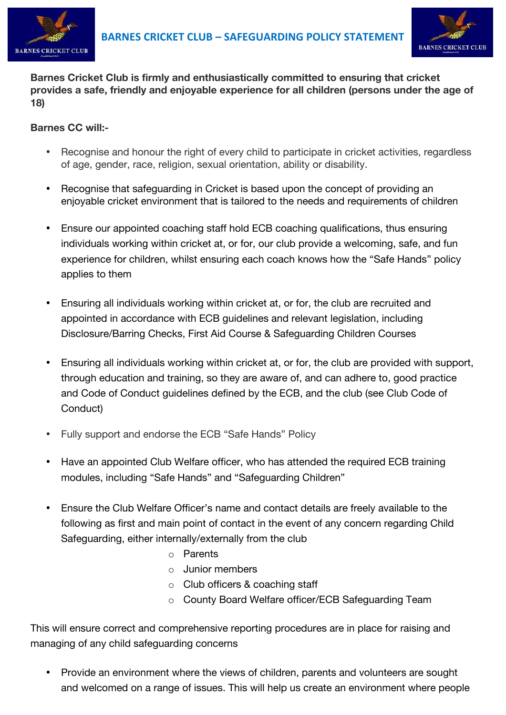



**Barnes Cricket Club is firmly and enthusiastically committed to ensuring that cricket provides a safe, friendly and enjoyable experience for all children (persons under the age of 18)**

## **Barnes CC will:-**

- Recognise and honour the right of every child to participate in cricket activities, regardless of age, gender, race, religion, sexual orientation, ability or disability.
- Recognise that safeguarding in Cricket is based upon the concept of providing an enjoyable cricket environment that is tailored to the needs and requirements of children
- Ensure our appointed coaching staff hold ECB coaching qualifications, thus ensuring individuals working within cricket at, or for, our club provide a welcoming, safe, and fun experience for children, whilst ensuring each coach knows how the "Safe Hands" policy applies to them
- Ensuring all individuals working within cricket at, or for, the club are recruited and appointed in accordance with ECB guidelines and relevant legislation, including Disclosure/Barring Checks, First Aid Course & Safeguarding Children Courses
- Ensuring all individuals working within cricket at, or for, the club are provided with support, through education and training, so they are aware of, and can adhere to, good practice and Code of Conduct guidelines defined by the ECB, and the club (see Club Code of Conduct)
- Fully support and endorse the ECB "Safe Hands" Policy
- Have an appointed Club Welfare officer, who has attended the required ECB training modules, including "Safe Hands" and "Safeguarding Children"
- Ensure the Club Welfare Officer's name and contact details are freely available to the following as first and main point of contact in the event of any concern regarding Child Safeguarding, either internally/externally from the club
	- o Parents
	- o Junior members
	- o Club officers & coaching staff
	- o County Board Welfare officer/ECB Safeguarding Team

This will ensure correct and comprehensive reporting procedures are in place for raising and managing of any child safeguarding concerns

• Provide an environment where the views of children, parents and volunteers are sought and welcomed on a range of issues. This will help us create an environment where people